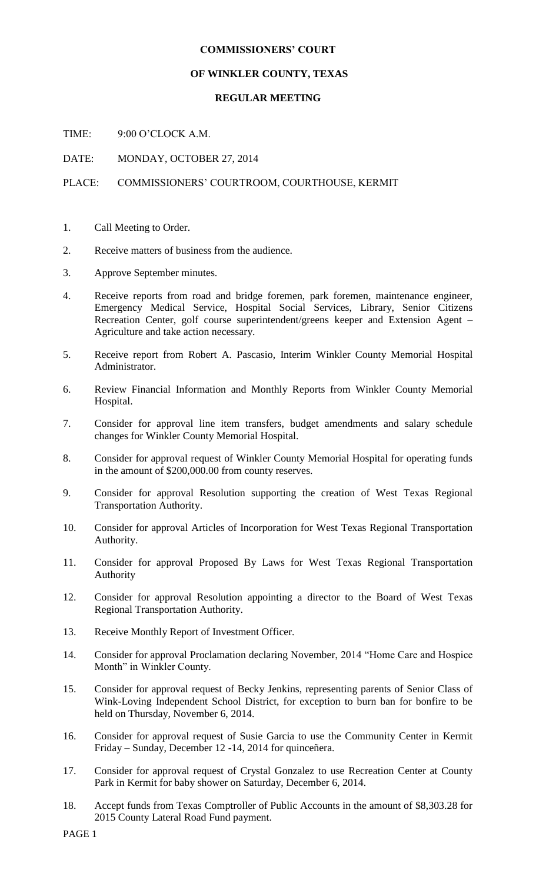#### **COMMISSIONERS' COURT**

# **OF WINKLER COUNTY, TEXAS**

# **REGULAR MEETING**

TIME: 9:00 O'CLOCK A.M.

DATE: MONDAY, OCTOBER 27, 2014

# PLACE: COMMISSIONERS' COURTROOM, COURTHOUSE, KERMIT

- 1. Call Meeting to Order.
- 2. Receive matters of business from the audience.
- 3. Approve September minutes.
- 4. Receive reports from road and bridge foremen, park foremen, maintenance engineer, Emergency Medical Service, Hospital Social Services, Library, Senior Citizens Recreation Center, golf course superintendent/greens keeper and Extension Agent – Agriculture and take action necessary.
- 5. Receive report from Robert A. Pascasio, Interim Winkler County Memorial Hospital Administrator.
- 6. Review Financial Information and Monthly Reports from Winkler County Memorial Hospital.
- 7. Consider for approval line item transfers, budget amendments and salary schedule changes for Winkler County Memorial Hospital.
- 8. Consider for approval request of Winkler County Memorial Hospital for operating funds in the amount of \$200,000.00 from county reserves.
- 9. Consider for approval Resolution supporting the creation of West Texas Regional Transportation Authority.
- 10. Consider for approval Articles of Incorporation for West Texas Regional Transportation Authority.
- 11. Consider for approval Proposed By Laws for West Texas Regional Transportation Authority
- 12. Consider for approval Resolution appointing a director to the Board of West Texas Regional Transportation Authority.
- 13. Receive Monthly Report of Investment Officer.
- 14. Consider for approval Proclamation declaring November, 2014 "Home Care and Hospice Month" in Winkler County.
- 15. Consider for approval request of Becky Jenkins, representing parents of Senior Class of Wink-Loving Independent School District, for exception to burn ban for bonfire to be held on Thursday, November 6, 2014.
- 16. Consider for approval request of Susie Garcia to use the Community Center in Kermit Friday – Sunday, December 12 -14, 2014 for quinceñera.
- 17. Consider for approval request of Crystal Gonzalez to use Recreation Center at County Park in Kermit for baby shower on Saturday, December 6, 2014.
- 18. Accept funds from Texas Comptroller of Public Accounts in the amount of \$8,303.28 for 2015 County Lateral Road Fund payment.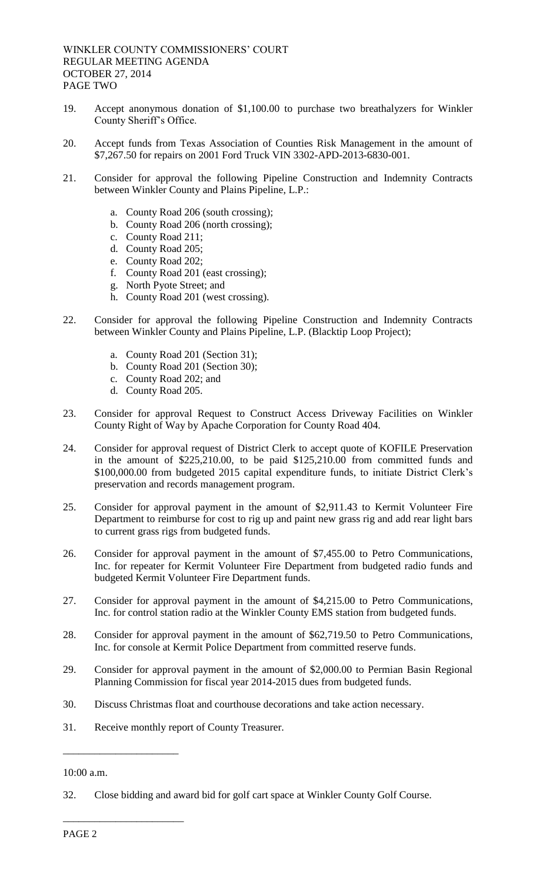- 19. Accept anonymous donation of \$1,100.00 to purchase two breathalyzers for Winkler County Sheriff's Office.
- 20. Accept funds from Texas Association of Counties Risk Management in the amount of \$7,267.50 for repairs on 2001 Ford Truck VIN 3302-APD-2013-6830-001.
- 21. Consider for approval the following Pipeline Construction and Indemnity Contracts between Winkler County and Plains Pipeline, L.P.:
	- a. County Road 206 (south crossing);
	- b. County Road 206 (north crossing);
	- c. County Road 211;
	- d. County Road 205;
	- e. County Road 202;
	- f. County Road 201 (east crossing);
	- g. North Pyote Street; and
	- h. County Road 201 (west crossing).
- 22. Consider for approval the following Pipeline Construction and Indemnity Contracts between Winkler County and Plains Pipeline, L.P. (Blacktip Loop Project);
	- a. County Road 201 (Section 31);
	- b. County Road 201 (Section 30);
	- c. County Road 202; and
	- d. County Road 205.
- 23. Consider for approval Request to Construct Access Driveway Facilities on Winkler County Right of Way by Apache Corporation for County Road 404.
- 24. Consider for approval request of District Clerk to accept quote of KOFILE Preservation in the amount of \$225,210.00, to be paid \$125,210.00 from committed funds and \$100,000.00 from budgeted 2015 capital expenditure funds, to initiate District Clerk's preservation and records management program.
- 25. Consider for approval payment in the amount of \$2,911.43 to Kermit Volunteer Fire Department to reimburse for cost to rig up and paint new grass rig and add rear light bars to current grass rigs from budgeted funds.
- 26. Consider for approval payment in the amount of \$7,455.00 to Petro Communications, Inc. for repeater for Kermit Volunteer Fire Department from budgeted radio funds and budgeted Kermit Volunteer Fire Department funds.
- 27. Consider for approval payment in the amount of \$4,215.00 to Petro Communications, Inc. for control station radio at the Winkler County EMS station from budgeted funds.
- 28. Consider for approval payment in the amount of \$62,719.50 to Petro Communications, Inc. for console at Kermit Police Department from committed reserve funds.
- 29. Consider for approval payment in the amount of \$2,000.00 to Permian Basin Regional Planning Commission for fiscal year 2014-2015 dues from budgeted funds.
- 30. Discuss Christmas float and courthouse decorations and take action necessary.
- 31. Receive monthly report of County Treasurer.

#### 10:00 a.m.

\_\_\_\_\_\_\_\_\_\_\_\_\_\_\_\_\_\_\_\_\_\_

\_\_\_\_\_\_\_\_\_\_\_\_\_\_\_\_\_\_\_\_\_\_\_

<sup>32.</sup> Close bidding and award bid for golf cart space at Winkler County Golf Course.